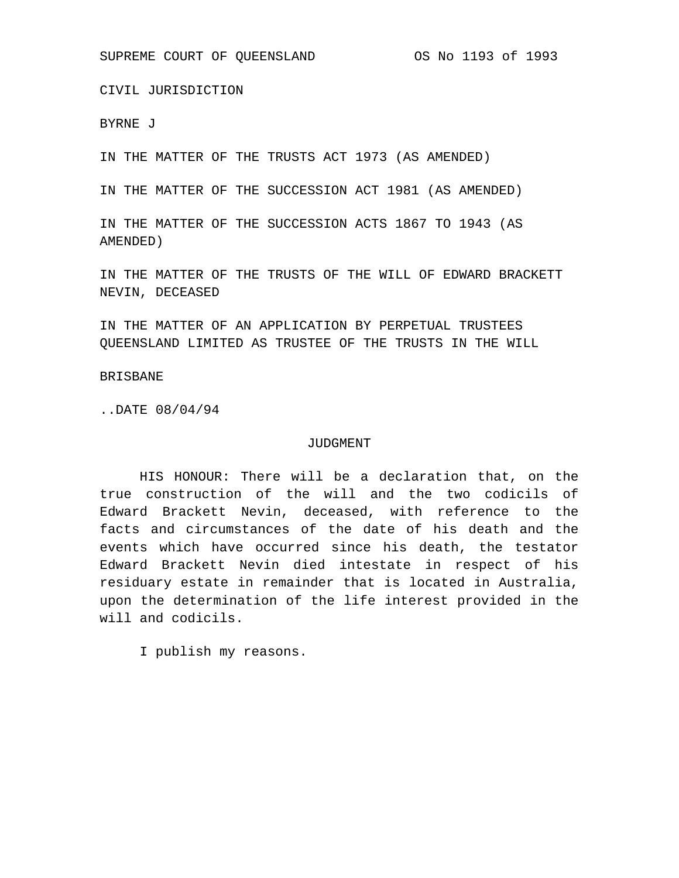CIVIL JURISDICTION

BYRNE J

IN THE MATTER OF THE TRUSTS ACT 1973 (AS AMENDED)

IN THE MATTER OF THE SUCCESSION ACT 1981 (AS AMENDED)

IN THE MATTER OF THE SUCCESSION ACTS 1867 TO 1943 (AS AMENDED)

IN THE MATTER OF THE TRUSTS OF THE WILL OF EDWARD BRACKETT NEVIN, DECEASED

IN THE MATTER OF AN APPLICATION BY PERPETUAL TRUSTEES QUEENSLAND LIMITED AS TRUSTEE OF THE TRUSTS IN THE WILL

## BRISBANE

..DATE 08/04/94

## JUDGMENT

HIS HONOUR: There will be a declaration that, on the true construction of the will and the two codicils of Edward Brackett Nevin, deceased, with reference to the facts and circumstances of the date of his death and the events which have occurred since his death, the testator Edward Brackett Nevin died intestate in respect of his residuary estate in remainder that is located in Australia, upon the determination of the life interest provided in the will and codicils.

I publish my reasons.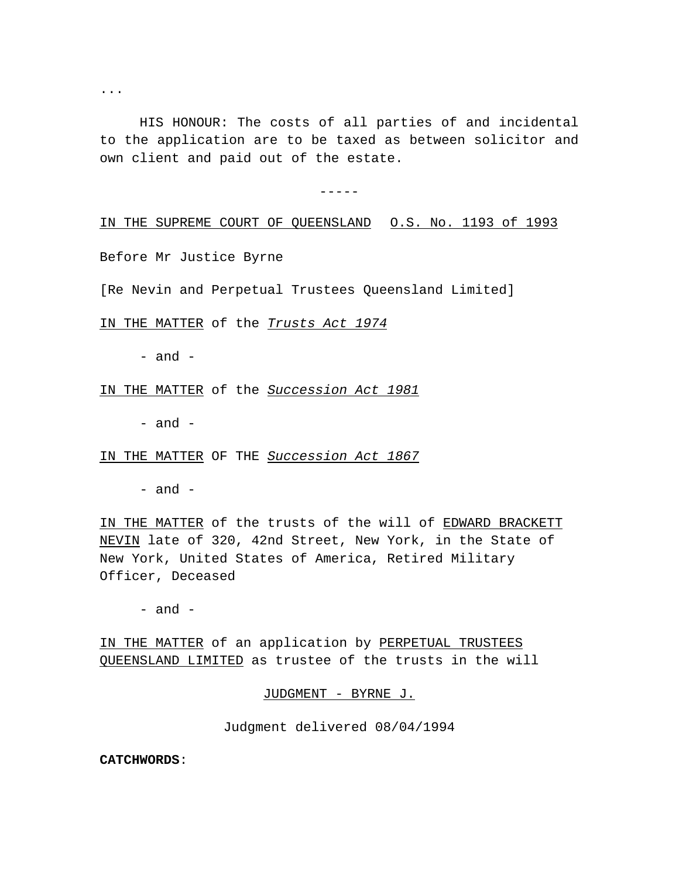...

HIS HONOUR: The costs of all parties of and incidental to the application are to be taxed as between solicitor and own client and paid out of the estate.

-----

## IN THE SUPREME COURT OF QUEENSLAND O.S. No. 1193 of 1993

Before Mr Justice Byrne

[Re Nevin and Perpetual Trustees Queensland Limited]

IN THE MATTER of the *Trusts Act 1974*

- and -

IN THE MATTER of the *Succession Act 1981*

- and -

IN THE MATTER OF THE *Succession Act 1867*

 $-$  and  $-$ 

IN THE MATTER of the trusts of the will of EDWARD BRACKETT NEVIN late of 320, 42nd Street, New York, in the State of New York, United States of America, Retired Military Officer, Deceased

- and -

IN THE MATTER of an application by PERPETUAL TRUSTEES QUEENSLAND LIMITED as trustee of the trusts in the will

JUDGMENT - BYRNE J.

Judgment delivered 08/04/1994

**CATCHWORDS**: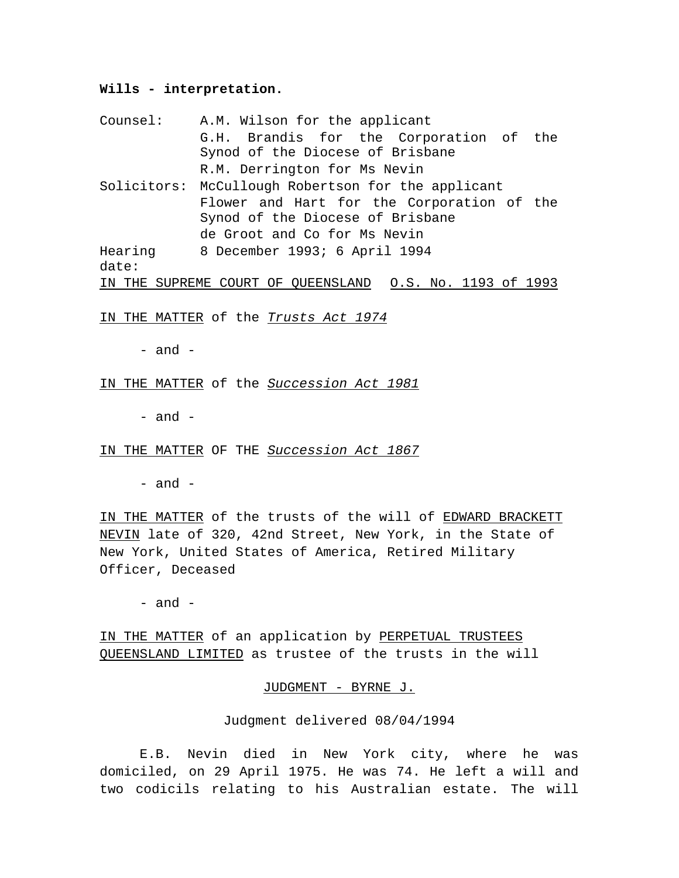## **Wills - interpretation.**

| Counsel: | A.M. Wilson for the applicant                            |
|----------|----------------------------------------------------------|
|          | G.H. Brandis for the Corporation of the                  |
|          | Synod of the Diocese of Brisbane                         |
|          | R.M. Derrington for Ms Nevin                             |
|          | Solicitors: McCullough Robertson for the applicant       |
|          | Flower and Hart for the Corporation of the               |
|          | Synod of the Diocese of Brisbane                         |
|          | de Groot and Co for Ms Nevin                             |
| Hearing  | 8 December 1993; 6 April 1994                            |
| date:    |                                                          |
|          | IN THE SUPREME COURT OF OUEENSLAND 0.S. No. 1193 of 1993 |

IN THE MATTER of the *Trusts Act 1974*

- and -

IN THE MATTER of the *Succession Act 1981*

- and -

IN THE MATTER OF THE *Succession Act 1867*

 $-$  and  $-$ 

IN THE MATTER of the trusts of the will of EDWARD BRACKETT NEVIN late of 320, 42nd Street, New York, in the State of New York, United States of America, Retired Military Officer, Deceased

- and -

IN THE MATTER of an application by PERPETUAL TRUSTEES QUEENSLAND LIMITED as trustee of the trusts in the will

JUDGMENT - BYRNE J.

Judgment delivered 08/04/1994

E.B. Nevin died in New York city, where he was domiciled, on 29 April 1975. He was 74. He left a will and two codicils relating to his Australian estate. The will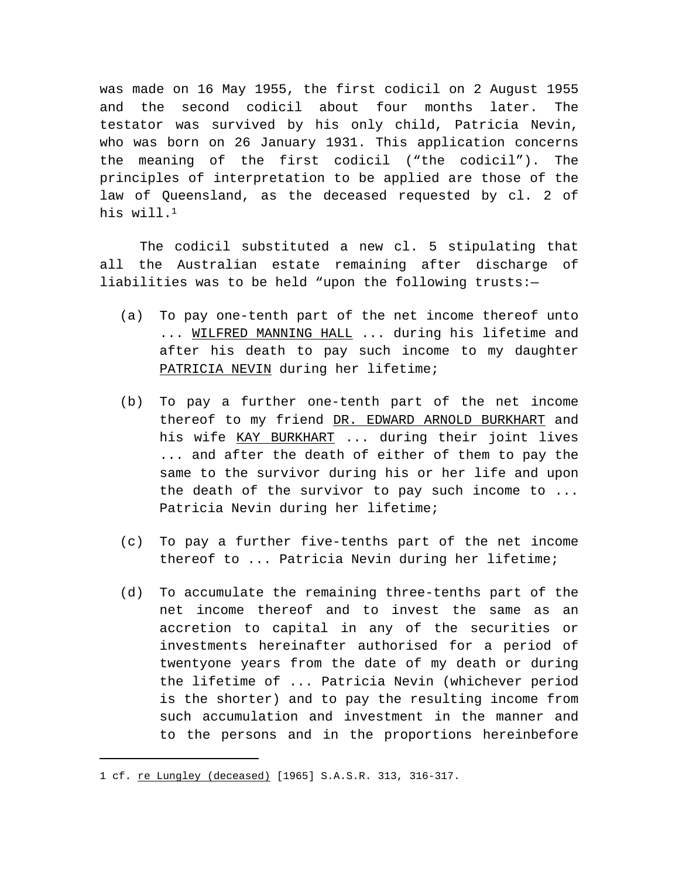was made on 16 May 1955, the first codicil on 2 August 1955 and the second codicil about four months later. The testator was survived by his only child, Patricia Nevin, who was born on 26 January 1931. This application concerns the meaning of the first codicil ("the codicil"). The principles of interpretation to be applied are those of the law of Queensland, as the deceased requested by cl. 2 of his will. $1$ 

The codicil substituted a new cl. 5 stipulating that all the Australian estate remaining after discharge of liabilities was to be held "upon the following trusts:—

- (a) To pay one-tenth part of the net income thereof unto ... WILFRED MANNING HALL ... during his lifetime and after his death to pay such income to my daughter PATRICIA NEVIN during her lifetime;
- (b) To pay a further one-tenth part of the net income thereof to my friend DR. EDWARD ARNOLD BURKHART and his wife KAY BURKHART ... during their joint lives ... and after the death of either of them to pay the same to the survivor during his or her life and upon the death of the survivor to pay such income to ... Patricia Nevin during her lifetime;
- (c) To pay a further five-tenths part of the net income thereof to ... Patricia Nevin during her lifetime;
- (d) To accumulate the remaining three-tenths part of the net income thereof and to invest the same as an accretion to capital in any of the securities or investments hereinafter authorised for a period of twentyone years from the date of my death or during the lifetime of ... Patricia Nevin (whichever period is the shorter) and to pay the resulting income from such accumulation and investment in the manner and to the persons and in the proportions hereinbefore

<sup>1</sup> cf. re Lungley (deceased) [1965] S.A.S.R. 313, 316-317.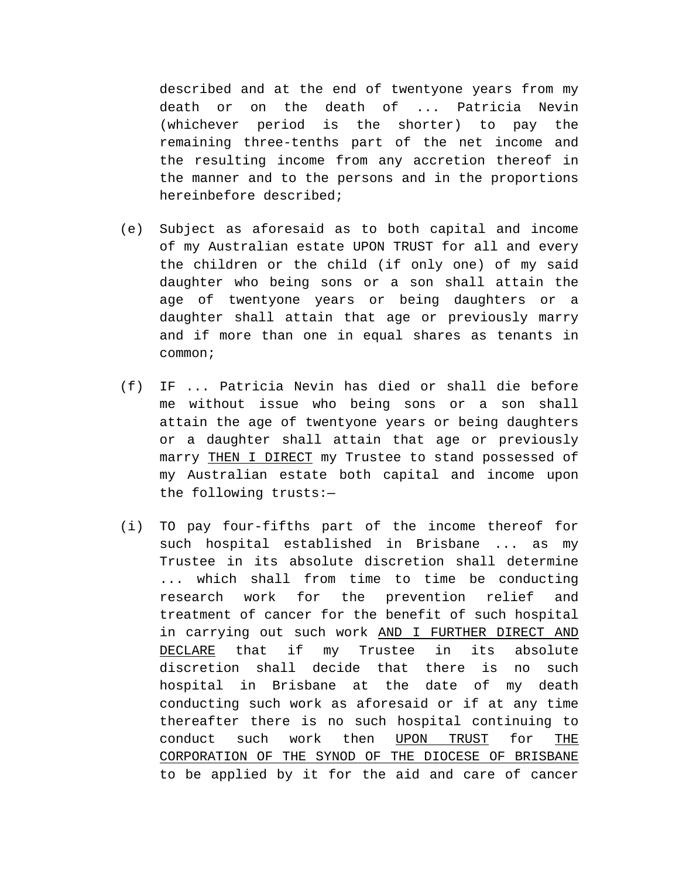described and at the end of twentyone years from my death or on the death of ... Patricia Nevin (whichever period is the shorter) to pay the remaining three-tenths part of the net income and the resulting income from any accretion thereof in the manner and to the persons and in the proportions hereinbefore described;

- (e) Subject as aforesaid as to both capital and income of my Australian estate UPON TRUST for all and every the children or the child (if only one) of my said daughter who being sons or a son shall attain the age of twentyone years or being daughters or a daughter shall attain that age or previously marry and if more than one in equal shares as tenants in common;
- (f) IF ... Patricia Nevin has died or shall die before me without issue who being sons or a son shall attain the age of twentyone years or being daughters or a daughter shall attain that age or previously marry THEN I DIRECT my Trustee to stand possessed of my Australian estate both capital and income upon the following trusts:—
- (i) TO pay four-fifths part of the income thereof for such hospital established in Brisbane ... as my Trustee in its absolute discretion shall determine ... which shall from time to time be conducting research work for the prevention relief and treatment of cancer for the benefit of such hospital in carrying out such work AND I FURTHER DIRECT AND DECLARE that if my Trustee in its absolute discretion shall decide that there is no such hospital in Brisbane at the date of my death conducting such work as aforesaid or if at any time thereafter there is no such hospital continuing to conduct such work then UPON TRUST for THE CORPORATION OF THE SYNOD OF THE DIOCESE OF BRISBANE to be applied by it for the aid and care of cancer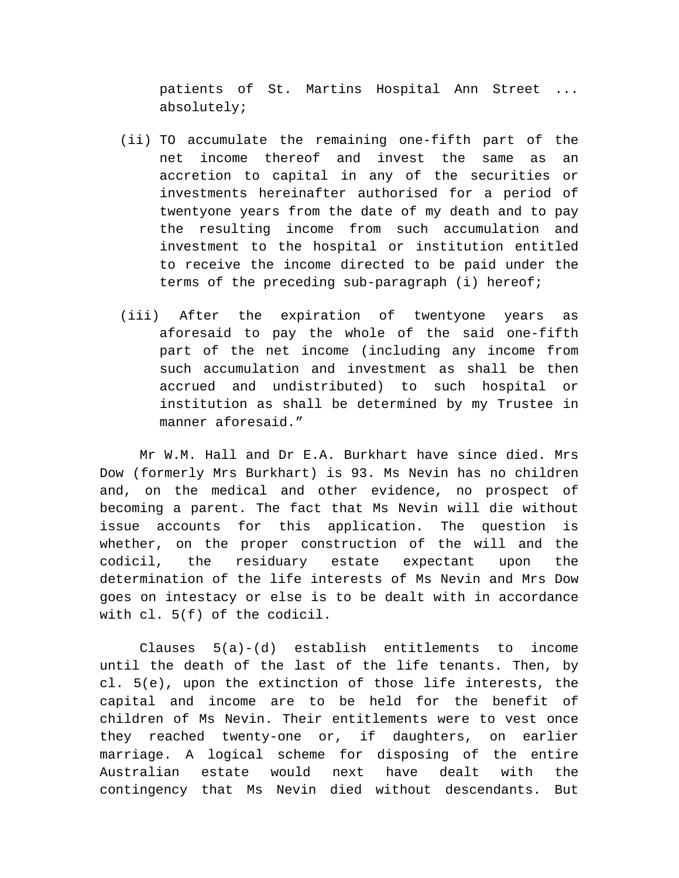patients of St. Martins Hospital Ann Street ... absolutely;

- (ii) TO accumulate the remaining one-fifth part of the net income thereof and invest the same as an accretion to capital in any of the securities or investments hereinafter authorised for a period of twentyone years from the date of my death and to pay the resulting income from such accumulation and investment to the hospital or institution entitled to receive the income directed to be paid under the terms of the preceding sub-paragraph (i) hereof;
- (iii) After the expiration of twentyone years as aforesaid to pay the whole of the said one-fifth part of the net income (including any income from such accumulation and investment as shall be then accrued and undistributed) to such hospital or institution as shall be determined by my Trustee in manner aforesaid."

Mr W.M. Hall and Dr E.A. Burkhart have since died. Mrs Dow (formerly Mrs Burkhart) is 93. Ms Nevin has no children and, on the medical and other evidence, no prospect of becoming a parent. The fact that Ms Nevin will die without issue accounts for this application. The question is whether, on the proper construction of the will and the codicil, the residuary estate expectant upon the determination of the life interests of Ms Nevin and Mrs Dow goes on intestacy or else is to be dealt with in accordance with cl. 5(f) of the codicil.

Clauses 5(a)-(d) establish entitlements to income until the death of the last of the life tenants. Then, by cl. 5(e), upon the extinction of those life interests, the capital and income are to be held for the benefit of children of Ms Nevin. Their entitlements were to vest once they reached twenty-one or, if daughters, on earlier marriage. A logical scheme for disposing of the entire Australian estate would next have dealt with the contingency that Ms Nevin died without descendants. But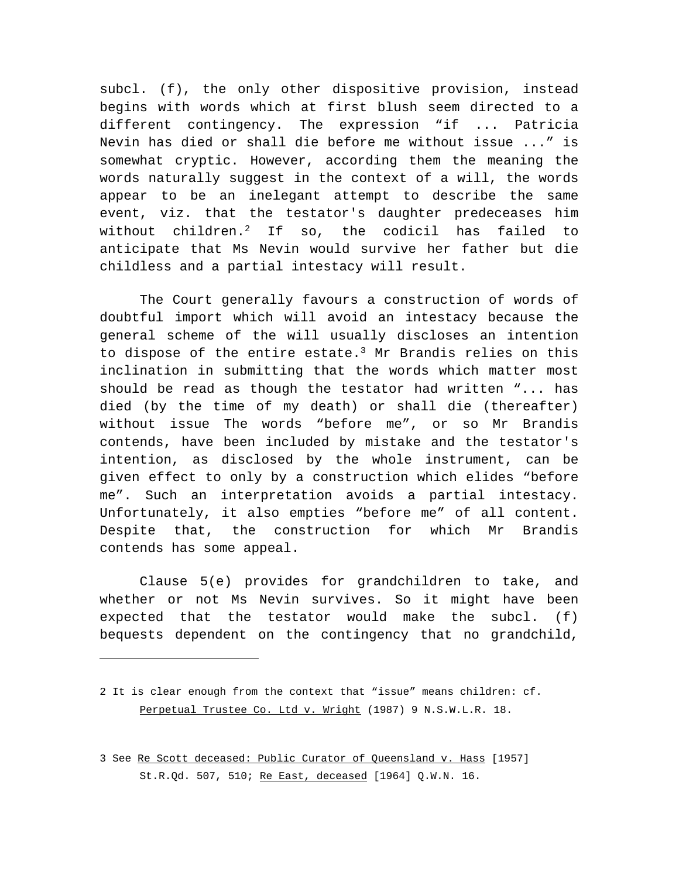subcl. (f), the only other dispositive provision, instead begins with words which at first blush seem directed to a different contingency. The expression "if ... Patricia Nevin has died or shall die before me without issue ..." is somewhat cryptic. However, according them the meaning the words naturally suggest in the context of a will, the words appear to be an inelegant attempt to describe the same event, viz. that the testator's daughter predeceases him without children.<sup>2</sup> If so, the codicil has failed to anticipate that Ms Nevin would survive her father but die childless and a partial intestacy will result.

The Court generally favours a construction of words of doubtful import which will avoid an intestacy because the general scheme of the will usually discloses an intention to dispose of the entire estate.<sup>3</sup> Mr Brandis relies on this inclination in submitting that the words which matter most should be read as though the testator had written "... has died (by the time of my death) or shall die (thereafter) without issue The words "before me", or so Mr Brandis contends, have been included by mistake and the testator's intention, as disclosed by the whole instrument, can be given effect to only by a construction which elides "before me". Such an interpretation avoids a partial intestacy. Unfortunately, it also empties "before me" of all content. Despite that, the construction for which Mr Brandis contends has some appeal.

Clause 5(e) provides for grandchildren to take, and whether or not Ms Nevin survives. So it might have been expected that the testator would make the subcl. (f) bequests dependent on the contingency that no grandchild,

<sup>2</sup> It is clear enough from the context that "issue" means children: cf. Perpetual Trustee Co. Ltd v. Wright (1987) 9 N.S.W.L.R. 18.

<sup>3</sup> See Re Scott deceased: Public Curator of Queensland v. Hass [1957] St.R.Qd. 507, 510; Re East, deceased [1964] Q.W.N. 16.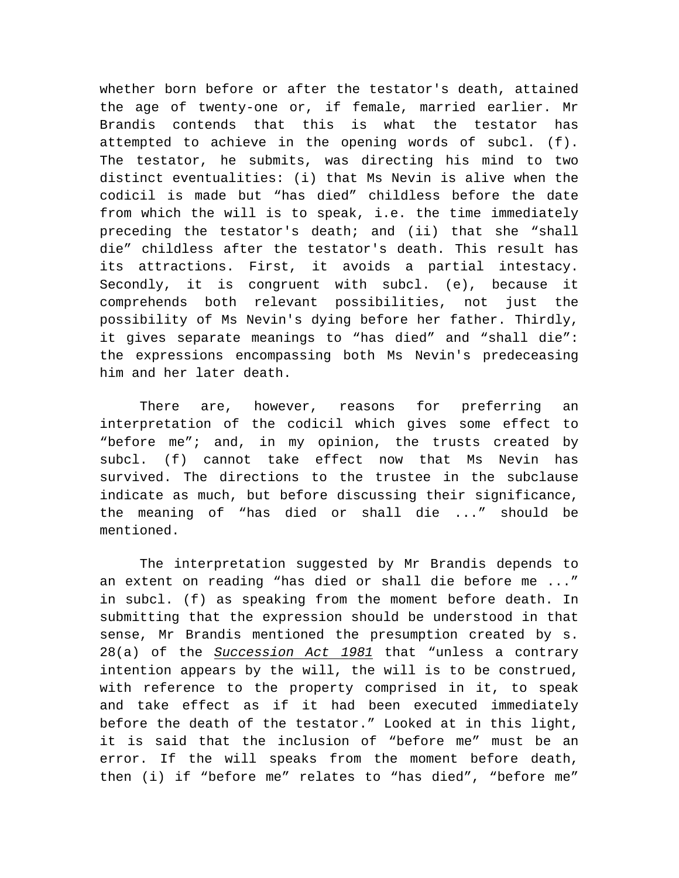whether born before or after the testator's death, attained the age of twenty-one or, if female, married earlier. Mr Brandis contends that this is what the testator has attempted to achieve in the opening words of subcl. (f). The testator, he submits, was directing his mind to two distinct eventualities: (i) that Ms Nevin is alive when the codicil is made but "has died" childless before the date from which the will is to speak, i.e. the time immediately preceding the testator's death; and (ii) that she "shall die" childless after the testator's death. This result has its attractions. First, it avoids a partial intestacy. Secondly, it is congruent with subcl. (e), because it comprehends both relevant possibilities, not just the possibility of Ms Nevin's dying before her father. Thirdly, it gives separate meanings to "has died" and "shall die": the expressions encompassing both Ms Nevin's predeceasing him and her later death.

There are, however, reasons for preferring an interpretation of the codicil which gives some effect to "before me"; and, in my opinion, the trusts created by subcl. (f) cannot take effect now that Ms Nevin has survived. The directions to the trustee in the subclause indicate as much, but before discussing their significance, the meaning of "has died or shall die ..." should be mentioned.

The interpretation suggested by Mr Brandis depends to an extent on reading "has died or shall die before me ..." in subcl. (f) as speaking from the moment before death. In submitting that the expression should be understood in that sense, Mr Brandis mentioned the presumption created by s. 28(a) of the *Succession Act 1981* that "unless a contrary intention appears by the will, the will is to be construed, with reference to the property comprised in it, to speak and take effect as if it had been executed immediately before the death of the testator." Looked at in this light, it is said that the inclusion of "before me" must be an error. If the will speaks from the moment before death, then (i) if "before me" relates to "has died", "before me"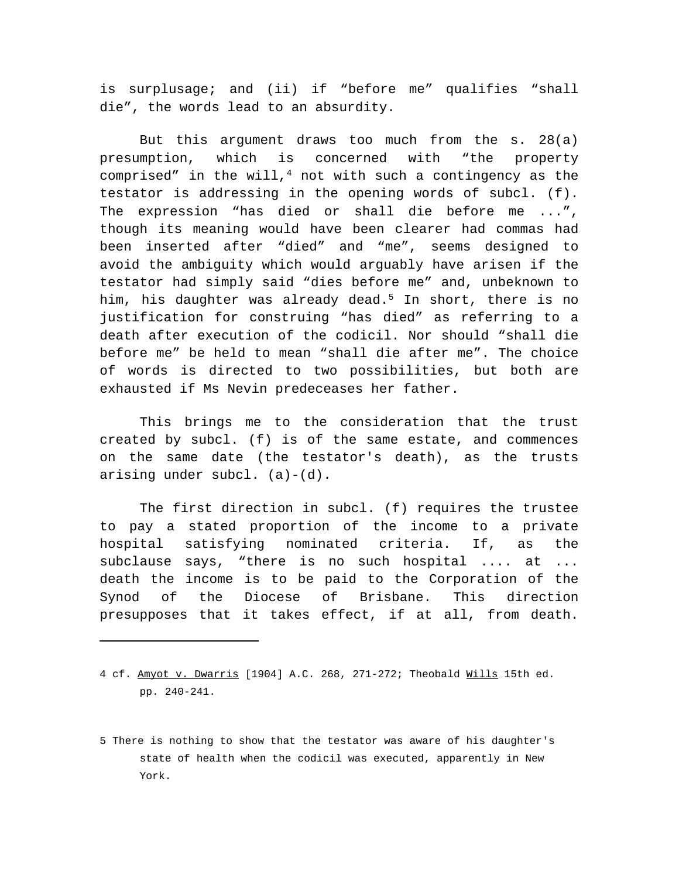is surplusage; and (ii) if "before me" qualifies "shall die", the words lead to an absurdity.

But this argument draws too much from the s. 28(a) presumption, which is concerned with "the property comprised" in the will,<sup>4</sup> not with such a contingency as the testator is addressing in the opening words of subcl. (f). The expression "has died or shall die before me ...", though its meaning would have been clearer had commas had been inserted after "died" and "me", seems designed to avoid the ambiguity which would arguably have arisen if the testator had simply said "dies before me" and, unbeknown to him, his daughter was already dead.<sup>5</sup> In short, there is no justification for construing "has died" as referring to a death after execution of the codicil. Nor should "shall die before me" be held to mean "shall die after me". The choice of words is directed to two possibilities, but both are exhausted if Ms Nevin predeceases her father.

This brings me to the consideration that the trust created by subcl. (f) is of the same estate, and commences on the same date (the testator's death), as the trusts arising under subcl. (a)-(d).

The first direction in subcl. (f) requires the trustee to pay a stated proportion of the income to a private hospital satisfying nominated criteria. If, as the subclause says, "there is no such hospital .... at ... death the income is to be paid to the Corporation of the Synod of the Diocese of Brisbane. This direction presupposes that it takes effect, if at all, from death.

<sup>4</sup> cf. Amyot v. Dwarris [1904] A.C. 268, 271-272; Theobald Wills 15th ed. pp. 240-241.

<sup>5</sup> There is nothing to show that the testator was aware of his daughter's state of health when the codicil was executed, apparently in New York.